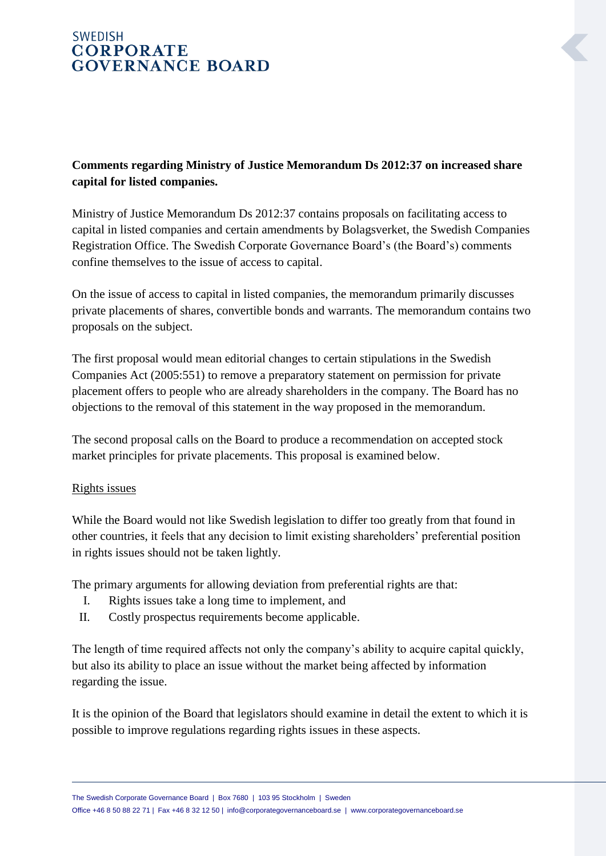# **SWEDISH CORPORATE GOVERNANCE BOARD**

## **Comments regarding Ministry of Justice Memorandum Ds 2012:37 on increased share capital for listed companies.**

Ministry of Justice Memorandum Ds 2012:37 contains proposals on facilitating access to capital in listed companies and certain amendments by Bolagsverket, the Swedish Companies Registration Office. The Swedish Corporate Governance Board's (the Board's) comments confine themselves to the issue of access to capital.

On the issue of access to capital in listed companies, the memorandum primarily discusses private placements of shares, convertible bonds and warrants. The memorandum contains two proposals on the subject.

The first proposal would mean editorial changes to certain stipulations in the Swedish Companies Act (2005:551) to remove a preparatory statement on permission for private placement offers to people who are already shareholders in the company. The Board has no objections to the removal of this statement in the way proposed in the memorandum.

The second proposal calls on the Board to produce a recommendation on accepted stock market principles for private placements. This proposal is examined below.

## Rights issues

While the Board would not like Swedish legislation to differ too greatly from that found in other countries, it feels that any decision to limit existing shareholders' preferential position in rights issues should not be taken lightly.

The primary arguments for allowing deviation from preferential rights are that:

- I. Rights issues take a long time to implement, and
- II. Costly prospectus requirements become applicable.

The length of time required affects not only the company's ability to acquire capital quickly, but also its ability to place an issue without the market being affected by information regarding the issue.

It is the opinion of the Board that legislators should examine in detail the extent to which it is possible to improve regulations regarding rights issues in these aspects.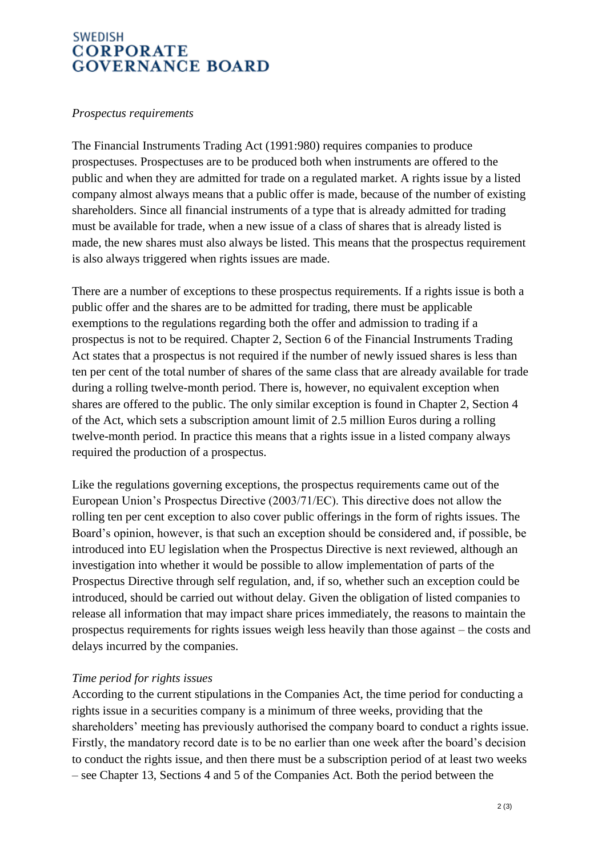## **SWEDISH CORPORATE GOVERNANCE BOARD**

#### *Prospectus requirements*

The Financial Instruments Trading Act (1991:980) requires companies to produce prospectuses. Prospectuses are to be produced both when instruments are offered to the public and when they are admitted for trade on a regulated market. A rights issue by a listed company almost always means that a public offer is made, because of the number of existing shareholders. Since all financial instruments of a type that is already admitted for trading must be available for trade, when a new issue of a class of shares that is already listed is made, the new shares must also always be listed. This means that the prospectus requirement is also always triggered when rights issues are made.

There are a number of exceptions to these prospectus requirements. If a rights issue is both a public offer and the shares are to be admitted for trading, there must be applicable exemptions to the regulations regarding both the offer and admission to trading if a prospectus is not to be required. Chapter 2, Section 6 of the Financial Instruments Trading Act states that a prospectus is not required if the number of newly issued shares is less than ten per cent of the total number of shares of the same class that are already available for trade during a rolling twelve-month period. There is, however, no equivalent exception when shares are offered to the public. The only similar exception is found in Chapter 2, Section 4 of the Act, which sets a subscription amount limit of 2.5 million Euros during a rolling twelve-month period. In practice this means that a rights issue in a listed company always required the production of a prospectus.

Like the regulations governing exceptions, the prospectus requirements came out of the European Union's Prospectus Directive (2003/71/EC). This directive does not allow the rolling ten per cent exception to also cover public offerings in the form of rights issues. The Board's opinion, however, is that such an exception should be considered and, if possible, be introduced into EU legislation when the Prospectus Directive is next reviewed, although an investigation into whether it would be possible to allow implementation of parts of the Prospectus Directive through self regulation, and, if so, whether such an exception could be introduced, should be carried out without delay. Given the obligation of listed companies to release all information that may impact share prices immediately, the reasons to maintain the prospectus requirements for rights issues weigh less heavily than those against – the costs and delays incurred by the companies.

## *Time period for rights issues*

According to the current stipulations in the Companies Act, the time period for conducting a rights issue in a securities company is a minimum of three weeks, providing that the shareholders' meeting has previously authorised the company board to conduct a rights issue. Firstly, the mandatory record date is to be no earlier than one week after the board's decision to conduct the rights issue, and then there must be a subscription period of at least two weeks – see Chapter 13, Sections 4 and 5 of the Companies Act. Both the period between the